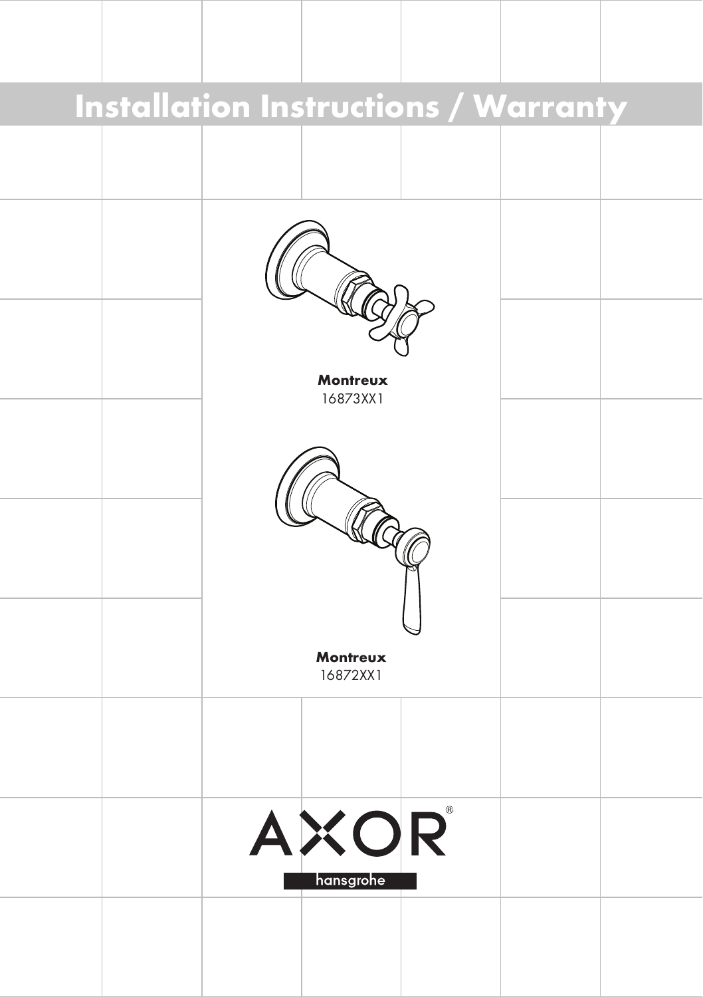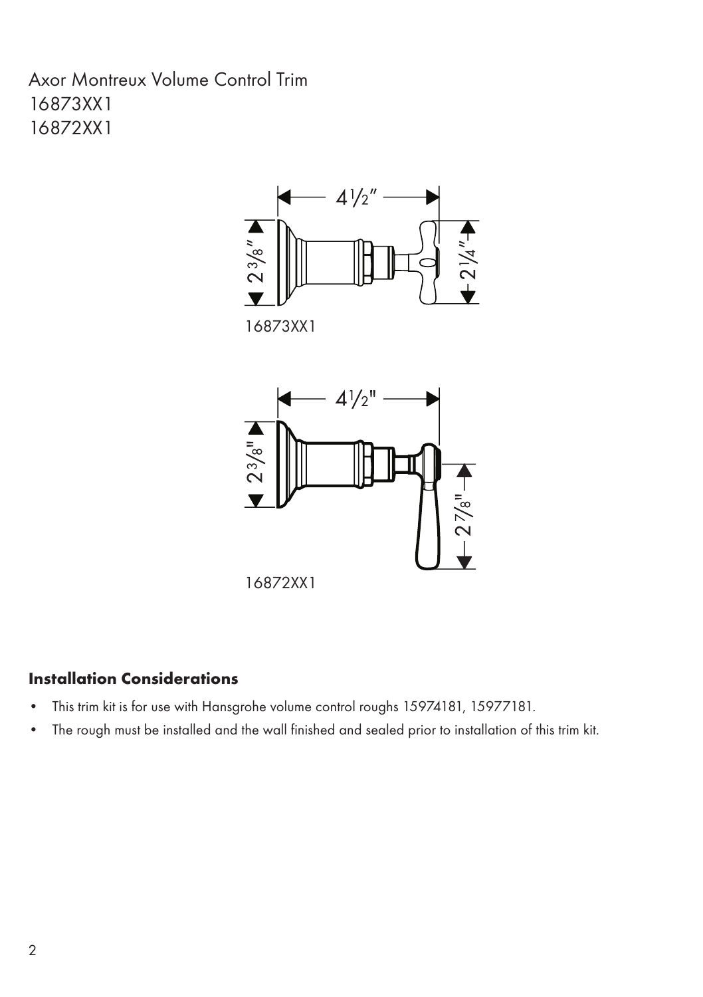Axor Montreux Volume Control Trim 16873XX1 16872XX1



16872XX1

# Installation Considerations

- This trim kit is for use with Hansgrohe volume control roughs 15974181, 15977181. •
- The rough must be installed and the wall finished and sealed prior to installation of this trim kit. •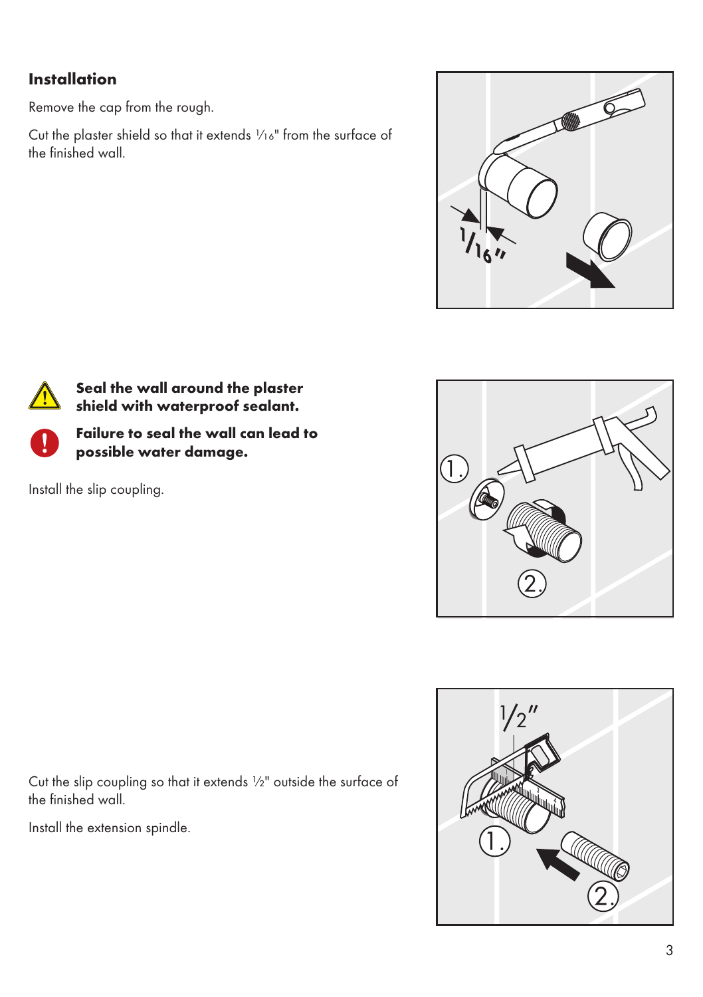# **Installation**

Remove the cap from the rough.

Cut the plaster shield so that it extends 1/16" from the surface of the finished wall.





Seal the wall around the plaster shield with waterproof sealant.



Failure to seal the wall can lead to possible water damage.

Install the slip coupling.



 $1/2''$ 

Cut the slip coupling so that it extends ½" outside the surface of the finished wall.

Install the extension spindle.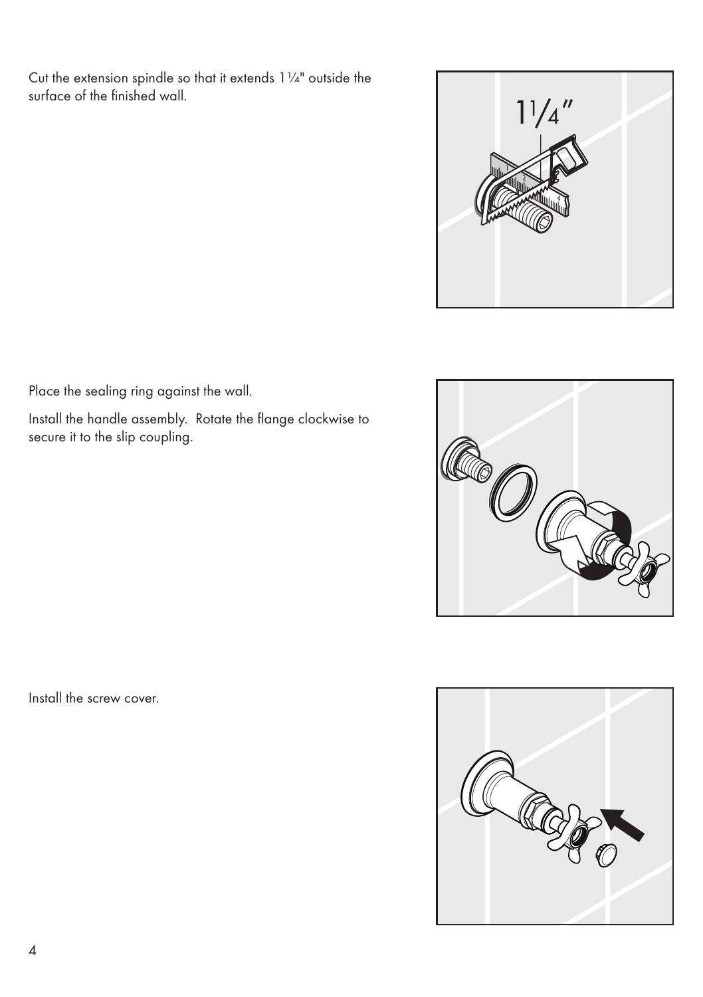Cut the extension spindle so that it extends 1¼" outside the surface of the finished wall.



Place the sealing ring against the wall.

Install the handle assembly. Rotate the flange clockwise to secure it to the slip coupling.



Install the screw cover.

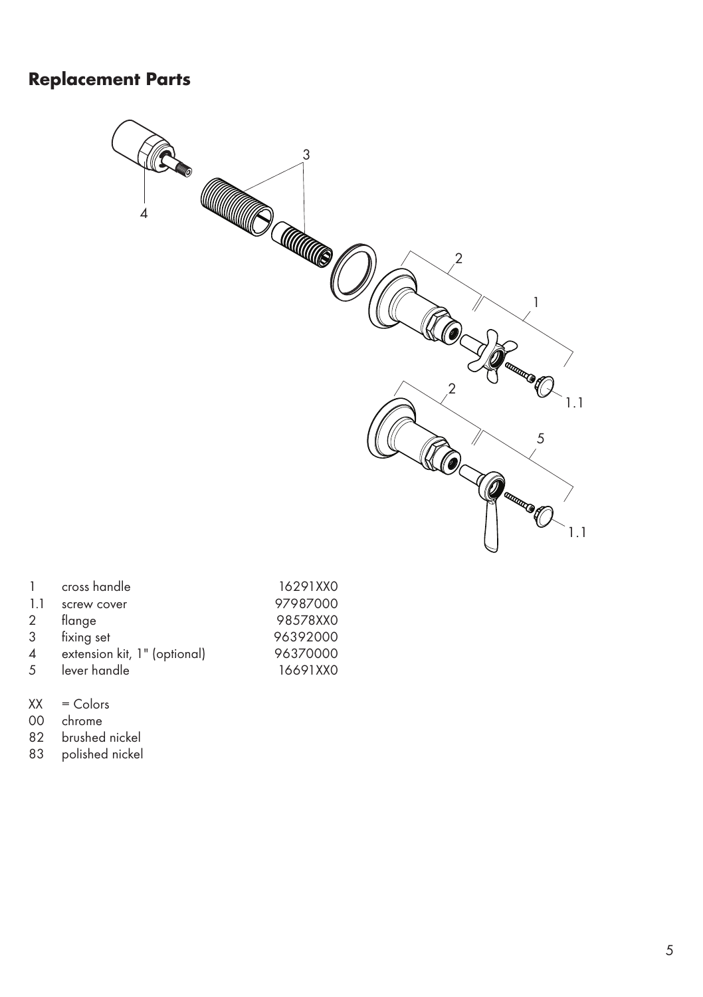# **Replacement Parts**



|                | cross handle                 | 16291XX0 |
|----------------|------------------------------|----------|
| 11             | screw cover                  | 97987000 |
| 2              | flange                       | 98578XX0 |
| 3              | fixing set                   | 96392000 |
| $\overline{4}$ | extension kit, 1" (optional) | 96370000 |
| 5              | lever handle                 | 16691XX0 |

- $XX =$  Colors<br>00 chrome
- 00 chrome<br>82 brushed
- 82 brushed nickel<br>83 polished nickel
- polished nickel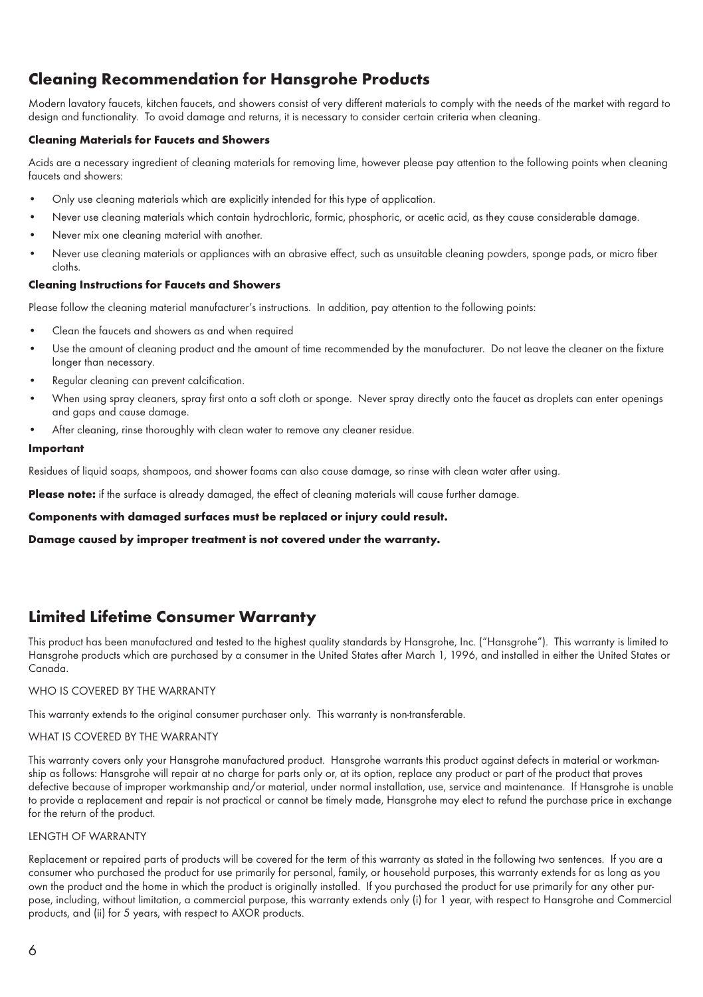## Cleaning Recommendation for Hansgrohe Products

Modern lavatory faucets, kitchen faucets, and showers consist of very different materials to comply with the needs of the market with regard to design and functionality. To avoid damage and returns, it is necessary to consider certain criteria when cleaning.

### Cleaning Materials for Faucets and Showers

Acids are a necessary ingredient of cleaning materials for removing lime, however please pay attention to the following points when cleaning faucets and showers:

- Only use cleaning materials which are explicitly intended for this type of application. •
- Never use cleaning materials which contain hydrochloric, formic, phosphoric, or acetic acid, as they cause considerable damage. •
- Never mix one cleaning material with another. •
- Never use cleaning materials or appliances with an abrasive effect, such as unsuitable cleaning powders, sponge pads, or micro fiber cloths. •

#### Cleaning Instructions for Faucets and Showers

Please follow the cleaning material manufacturer's instructions. In addition, pay attention to the following points:

- Clean the faucets and showers as and when required •
- Use the amount of cleaning product and the amount of time recommended by the manufacturer. Do not leave the cleaner on the fixture longer than necessary. •
- Regular cleaning can prevent calcification. •
- When using spray cleaners, spray first onto a soft cloth or sponge. Never spray directly onto the faucet as droplets can enter openings and gaps and cause damage. •
- After cleaning, rinse thoroughly with clean water to remove any cleaner residue. •

#### Important

Residues of liquid soaps, shampoos, and shower foams can also cause damage, so rinse with clean water after using.

Please note: if the surface is already damaged, the effect of cleaning materials will cause further damage.

#### Components with damaged surfaces must be replaced or injury could result.

Damage caused by improper treatment is not covered under the warranty.

## Limited Lifetime Consumer Warranty

This product has been manufactured and tested to the highest quality standards by Hansgrohe, Inc. ("Hansgrohe"). This warranty is limited to Hansgrohe products which are purchased by a consumer in the United States after March 1, 1996, and installed in either the United States or Canada.

#### WHO IS COVERED BY THE WARRANTY

This warranty extends to the original consumer purchaser only. This warranty is non-transferable.

### WHAT IS COVERED BY THE WARRANTY

This warranty covers only your Hansgrohe manufactured product. Hansgrohe warrants this product against defects in material or workmanship as follows: Hansgrohe will repair at no charge for parts only or, at its option, replace any product or part of the product that proves defective because of improper workmanship and/or material, under normal installation, use, service and maintenance. If Hansgrohe is unable to provide a replacement and repair is not practical or cannot be timely made, Hansgrohe may elect to refund the purchase price in exchange for the return of the product.

### LENGTH OF WARRANTY

Replacement or repaired parts of products will be covered for the term of this warranty as stated in the following two sentences. If you are a consumer who purchased the product for use primarily for personal, family, or household purposes, this warranty extends for as long as you own the product and the home in which the product is originally installed. If you purchased the product for use primarily for any other purpose, including, without limitation, a commercial purpose, this warranty extends only (i) for 1 year, with respect to Hansgrohe and Commercial products, and (ii) for 5 years, with respect to AXOR products.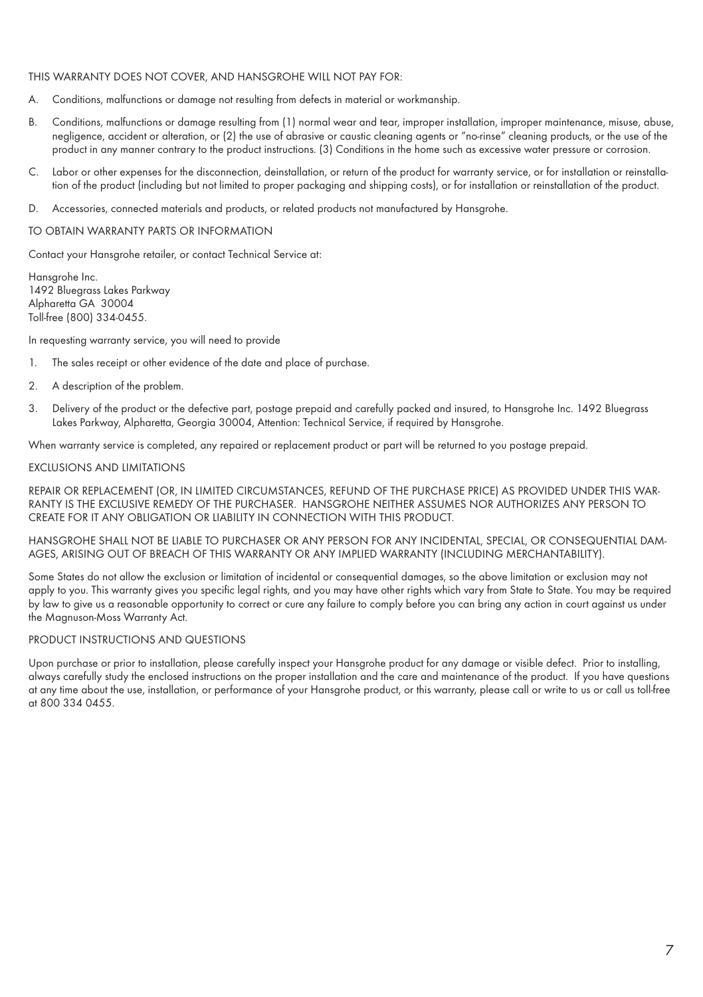#### THIS WARRANTY DOES NOT COVER, AND HANSGROHE WILL NOT PAY FOR:

- A. Conditions, malfunctions or damage not resulting from defects in material or workmanship.
- B. Conditions, malfunctions or damage resulting from (1) normal wear and tear, improper installation, improper maintenance, misuse, abuse, negligence, accident or alteration, or (2) the use of abrasive or caustic cleaning agents or "no-rinse" cleaning products, or the use of the product in any manner contrary to the product instructions. (3) Conditions in the home such as excessive water pressure or corrosion.
- C. Labor or other expenses for the disconnection, deinstallation, or return of the product for warranty service, or for installation or reinstallation of the product (including but not limited to proper packaging and shipping costs), or for installation or reinstallation of the product.
- D. Accessories, connected materials and products, or related products not manufactured by Hansgrohe.

#### TO OBTAIN WARRANTY PARTS OR INFORMATION

Contact your Hansgrohe retailer, or contact Technical Service at:

Hansgrohe Inc. 1492 Bluegrass Lakes Parkway Alpharetta GA 30004 Toll-free (800) 334-0455.

In requesting warranty service, you will need to provide

- 1. The sales receipt or other evidence of the date and place of purchase.
- 2. A description of the problem.
- 3. Delivery of the product or the defective part, postage prepaid and carefully packed and insured, to Hansgrohe Inc. 1492 Bluegrass Lakes Parkway, Alpharetta, Georgia 30004, Attention: Technical Service, if required by Hansgrohe.

When warranty service is completed, any repaired or replacement product or part will be returned to you postage prepaid.

#### EXCLUSIONS AND LIMITATIONS

REPAIR OR REPLACEMENT (OR, IN LIMITED CIRCUMSTANCES, REFUND OF THE PURCHASE PRICE) AS PROVIDED UNDER THIS WAR-RANTY IS THE EXCLUSIVE REMEDY OF THE PURCHASER. HANSGROHE NEITHER ASSUMES NOR AUTHORIZES ANY PERSON TO CREATE FOR IT ANY OBLIGATION OR LIABILITY IN CONNECTION WITH THIS PRODUCT.

HANSGROHE SHALL NOT BE LIABLE TO PURCHASER OR ANY PERSON FOR ANY INCIDENTAL, SPECIAL, OR CONSEQUENTIAL DAM-AGES, ARISING OUT OF BREACH OF THIS WARRANTY OR ANY IMPLIED WARRANTY (INCLUDING MERCHANTABILITY).

Some States do not allow the exclusion or limitation of incidental or consequential damages, so the above limitation or exclusion may not apply to you. This warranty gives you specific legal rights, and you may have other rights which vary from State to State. You may be required by law to give us a reasonable opportunity to correct or cure any failure to comply before you can bring any action in court against us under the Magnuson-Moss Warranty Act.

### PRODUCT INSTRUCTIONS AND QUESTIONS

Upon purchase or prior to installation, please carefully inspect your Hansgrohe product for any damage or visible defect. Prior to installing, always carefully study the enclosed instructions on the proper installation and the care and maintenance of the product. If you have questions at any time about the use, installation, or performance of your Hansgrohe product, or this warranty, please call or write to us or call us toll-free at 800 334 0455.